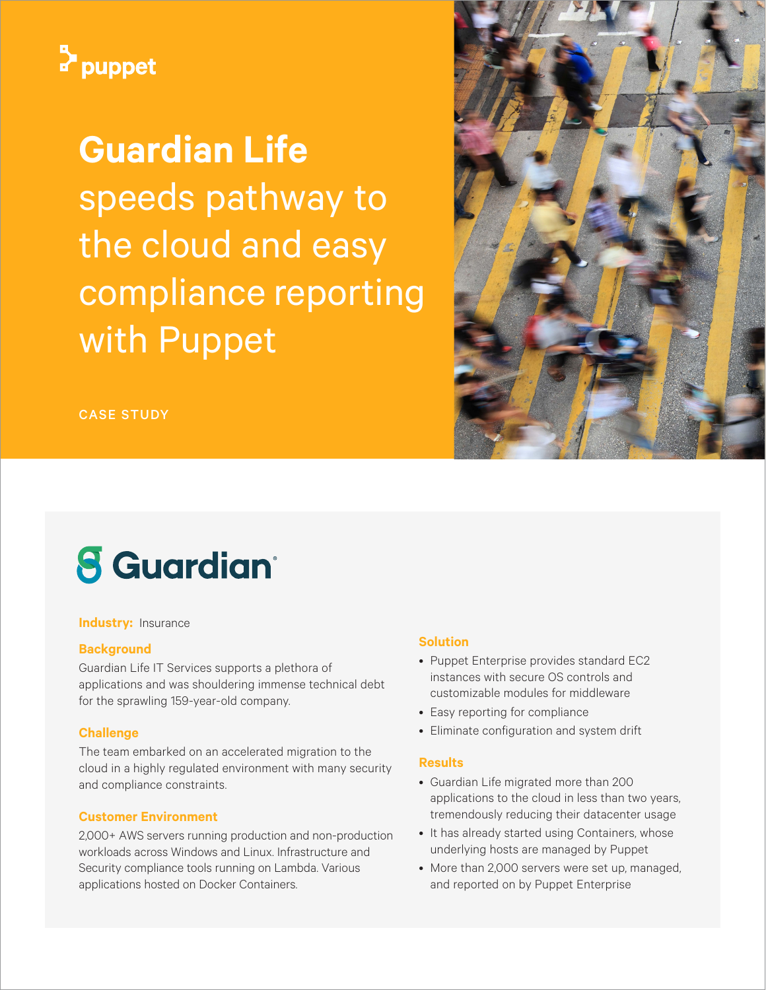

**Guardian Life** speeds pathway to the cloud and easy compliance reporting with Puppet





# **8** Guardian<sup>®</sup>

**Industry:** Insurance

### **Background**

Guardian Life IT Services supports a plethora of applications and was shouldering immense technical debt for the sprawling 159-year-old company.

## **Challenge**

The team embarked on an accelerated migration to the cloud in a highly regulated environment with many security and compliance constraints.

## **Customer Environment**

2,000+ AWS servers running production and non-production workloads across Windows and Linux. Infrastructure and Security compliance tools running on Lambda. Various applications hosted on Docker Containers.

# **Solution**

- Puppet Enterprise provides standard EC2 instances with secure OS controls and customizable modules for middleware
- Easy reporting for compliance
- Eliminate configuration and system drift

### **Results**

- Guardian Life migrated more than 200 applications to the cloud in less than two years, tremendously reducing their datacenter usage
- It has already started using Containers, whose underlying hosts are managed by Puppet
- More than 2,000 servers were set up, managed, and reported on by Puppet Enterprise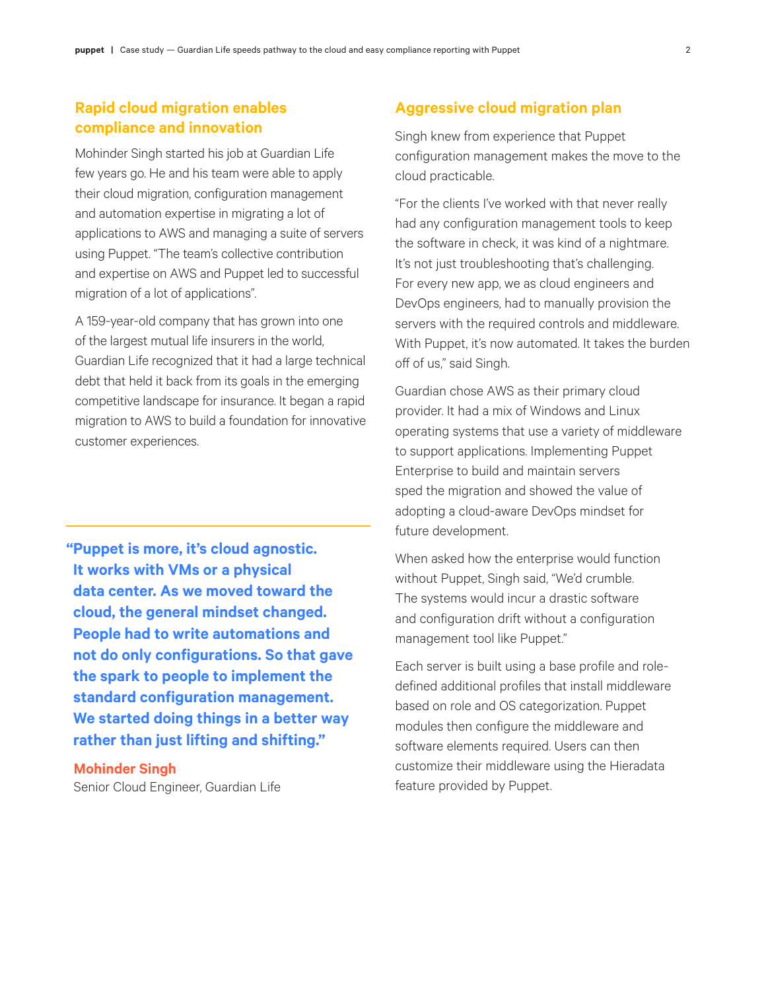# **Rapid cloud migration enables compliance and innovation**

Mohinder Singh started his job at Guardian Life few years go. He and his team were able to apply their cloud migration, configuration management and automation expertise in migrating a lot of applications to AWS and managing a suite of servers using Puppet. "The team's collective contribution and expertise on AWS and Puppet led to successful migration of a lot of applications".

A 159-year-old company that has grown into one of the largest mutual life insurers in the world, Guardian Life recognized that it had a large technical debt that held it back from its goals in the emerging competitive landscape for insurance. It began a rapid migration to AWS to build a foundation for innovative customer experiences.

**"Puppet is more, it's cloud agnostic. It works with VMs or a physical data center. As we moved toward the cloud, the general mindset changed. People had to write automations and not do only configurations. So that gave the spark to people to implement the standard configuration management. We started doing things in a better way rather than just lifting and shifting."**

**Mohinder Singh** Senior Cloud Engineer, Guardian Life

## **Aggressive cloud migration plan**

Singh knew from experience that Puppet configuration management makes the move to the cloud practicable.

"For the clients I've worked with that never really had any configuration management tools to keep the software in check, it was kind of a nightmare. It's not just troubleshooting that's challenging. For every new app, we as cloud engineers and DevOps engineers, had to manually provision the servers with the required controls and middleware. With Puppet, it's now automated. It takes the burden off of us," said Singh.

Guardian chose AWS as their primary cloud provider. It had a mix of Windows and Linux operating systems that use a variety of middleware to support applications. Implementing Puppet Enterprise to build and maintain servers sped the migration and showed the value of adopting a cloud-aware DevOps mindset for future development.

When asked how the enterprise would function without Puppet, Singh said, "We'd crumble. The systems would incur a drastic software and configuration drift without a configuration management tool like Puppet."

Each server is built using a base profile and roledefined additional profiles that install middleware based on role and OS categorization. Puppet modules then configure the middleware and software elements required. Users can then customize their middleware using the Hieradata feature provided by Puppet.